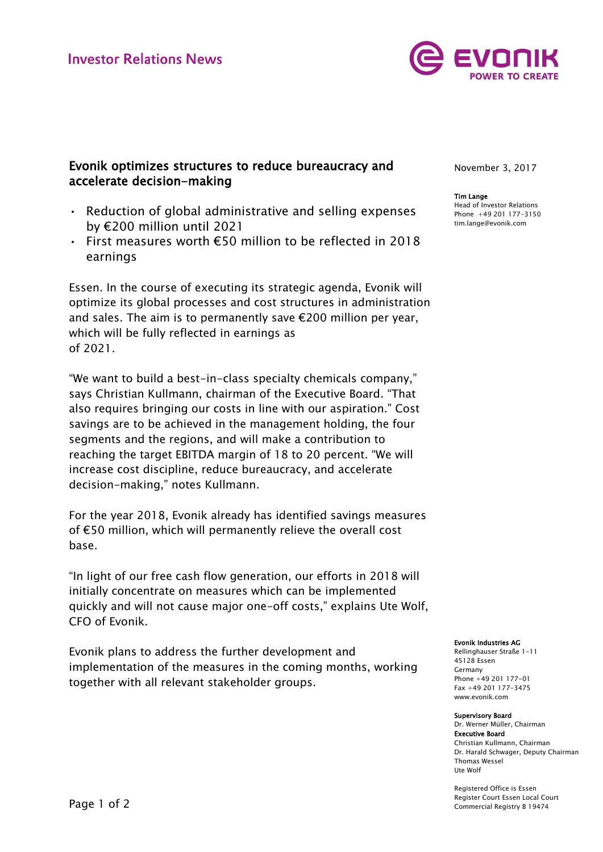

# Evonik optimizes structures to reduce bureaucracy and accelerate decision-making

- Reduction of global administrative and selling expenses by €200 million until 2021
- First measures worth €50 million to be reflected in 2018 earnings

Essen. In the course of executing its strategic agenda, Evonik will optimize its global processes and cost structures in administration and sales. The aim is to permanently save €200 million per year, which will be fully reflected in earnings as of 2021.

"We want to build a best-in-class specialty chemicals company," says Christian Kullmann, chairman of the Executive Board. "That also requires bringing our costs in line with our aspiration." Cost savings are to be achieved in the management holding, the four segments and the regions, and will make a contribution to reaching the target EBITDA margin of 18 to 20 percent. "We will increase cost discipline, reduce bureaucracy, and accelerate decision-making," notes Kullmann.

For the year 2018, Evonik already has identified savings measures of €50 million, which will permanently relieve the overall cost base.

"In light of our free cash flow generation, our efforts in 2018 will initially concentrate on measures which can be implemented quickly and will not cause major one-off costs," explains Ute Wolf, CFO of Evonik.

Evonik plans to address the further development and implementation of the measures in the coming months, working together with all relevant stakeholder groups.

November 3, 2017

### Tim Lange

Head of Investor Relations Phone +49 201 177-3150 tim.lange@evonik.com

Evonik Industries AG

Rellinghauser Straße 1-11 45128 Essen Germany Phone +49 201 177-01 Fax +49 201 177-3475 www.evonik.com

#### Supervisory Board

Dr. Werner Müller, Chairman Executive Board Christian Kullmann, Chairman Dr. Harald Schwager, Deputy Chairman Thomas Wessel Ute Wolf

Registered Office is Essen Register Court Essen Local Court Commercial Registry B 19474